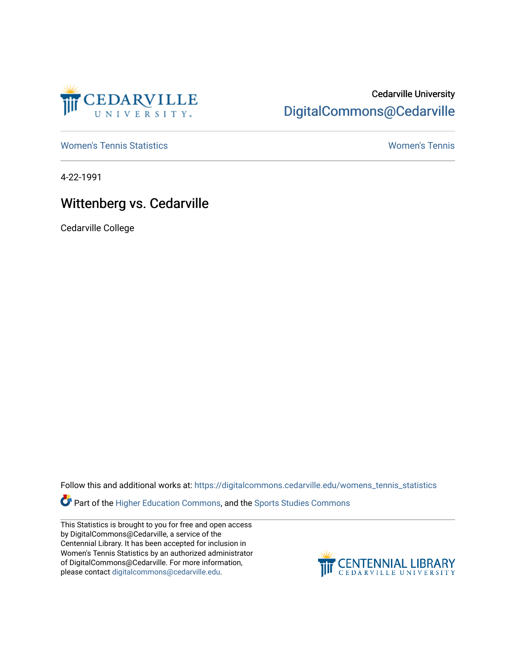

## Cedarville University [DigitalCommons@Cedarville](https://digitalcommons.cedarville.edu/)

[Women's Tennis Statistics](https://digitalcommons.cedarville.edu/womens_tennis_statistics) [Women's Tennis](https://digitalcommons.cedarville.edu/womens_tennis) 

4-22-1991

## Wittenberg vs. Cedarville

Cedarville College

Follow this and additional works at: [https://digitalcommons.cedarville.edu/womens\\_tennis\\_statistics](https://digitalcommons.cedarville.edu/womens_tennis_statistics?utm_source=digitalcommons.cedarville.edu%2Fwomens_tennis_statistics%2F129&utm_medium=PDF&utm_campaign=PDFCoverPages) 

Part of the [Higher Education Commons,](http://network.bepress.com/hgg/discipline/1245?utm_source=digitalcommons.cedarville.edu%2Fwomens_tennis_statistics%2F129&utm_medium=PDF&utm_campaign=PDFCoverPages) and the Sports Studies Commons

This Statistics is brought to you for free and open access by DigitalCommons@Cedarville, a service of the Centennial Library. It has been accepted for inclusion in Women's Tennis Statistics by an authorized administrator of DigitalCommons@Cedarville. For more information, please contact [digitalcommons@cedarville.edu](mailto:digitalcommons@cedarville.edu).